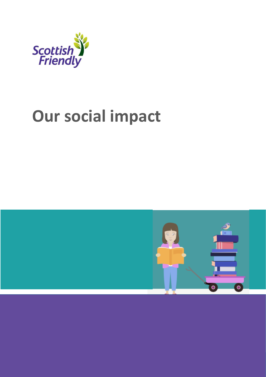

# **Our social impact**

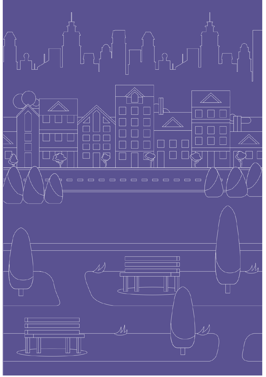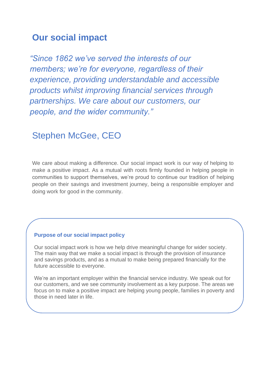## **Our social impact**

*"Since 1862 we've served the interests of our members; we're for everyone, regardless of their experience, providing understandable and accessible products whilst improving financial services through partnerships. We care about our customers, our people, and the wider community."*

# Stephen McGee, CEO

We care about making a difference. Our social impact work is our way of helping to make a positive impact. As a mutual with roots firmly founded in helping people in communities to support themselves, we're proud to continue our tradition of helping people on their savings and investment journey, being a responsible employer and doing work for good in the community.

#### **Purpose of our social impact policy**

Our social impact work is how we help drive meaningful change for wider society. The main way that we make a social impact is through the provision of insurance and savings products, and as a mutual to make being prepared financially for the future accessible to everyone.

We're an important employer within the financial service industry. We speak out for our customers, and we see community involvement as a key purpose. The areas we focus on to make a positive impact are helping young people, families in poverty and those in need later in life.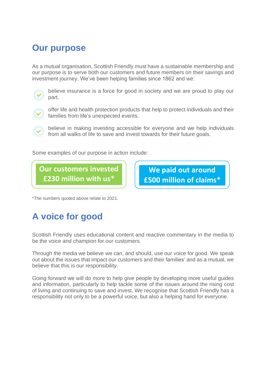# **Our purpose**

As a mutual organisation, Scottish Friendly must have a sustainable membership and our purpose is to serve both our customers and future members on their savings and investment journey. We've been helping families since 1862 and we:



believe insurance is a force for good in society and we are proud to play our part.



offer life and health protection products that help to protect individuals and their families from life's unexpected events.



believe in making investing accessible for everyone and we help individuals from all walks of life to save and invest towards for their future goals.

Some examples of our purpose in action include:





\*The numbers quoted above relate to 2021.

# **A voice for good**

Scottish Friendly uses educational content and reactive commentary in the media to be the voice and champion for our customers.

Through the media we believe we can, and should, use our voice for good. We speak out about the issues that impact our customers and their families' and as a mutual, we believe that this is our responsibility.

Going forward we will do more to help give people by developing more useful guides and information, particularly to help tackle some of the issues around the rising cost of living and continuing to save and invest. We recognise that Scottish Friendly has a responsibility not only to be a powerful voice, but also a helping hand for everyone.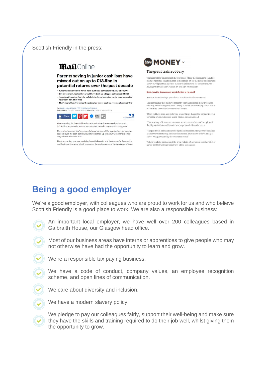#### Scottish Friendly in the press:



# **Being a good employer**

We're a good employer, with colleagues who are proud to work for us and who believe Scottish Friendly is a good place to work. We are also a responsible business:

- An important local employer, we have well over 200 colleagues based in Galbraith House, our Glasgow head office.
- Most of our business areas have interns or apprentices to give people who may not otherwise have had the opportunity to learn and grow.
- We're a responsible tax paying business.
	- We have a code of conduct, company values, an employee recognition scheme, and open lines of communication.
- We care about diversity and inclusion.
- We have a modern slavery policy.
	- We pledge to pay our colleagues fairly, support their well-being and make sure they have the skills and training required to do their job well, whilst giving them the opportunity to grow.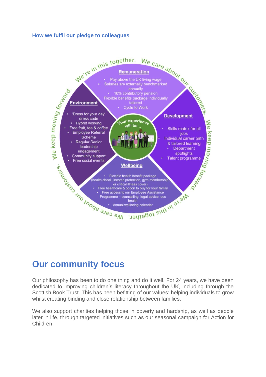#### **How we fulfil our pledge to colleagues**



# **Our community focus**

Our philosophy has been to do one thing and do it well. For 24 years, we have been dedicated to improving children's literacy throughout the UK, including through the Scottish Book Trust. This has been befitting of our values: helping individuals to grow whilst creating binding and close relationship between families.

We also support charities helping those in poverty and hardship, as well as people later in life, through targeted initiatives such as our seasonal campaign for Action for Children.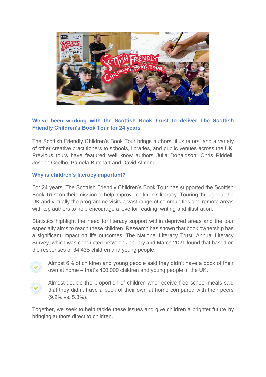

### **We've been working with the Scottish Book Trust to deliver The Scottish Friendly Children's Book Tour for 24 years**

The Scottish Friendly Children's Book Tour brings authors, illustrators, and a variety of other creative practitioners to schools, libraries, and public venues across the UK. Previous tours have featured well know authors Julia Donaldson, Chris Riddell, Joseph Coelho, Pamela Butchart and David Almond.

#### **Why is children's literacy important?**

For 24 years, The Scottish Friendly Children's Book Tour has supported the Scottish Book Trust on their mission to help improve children's literacy. Touring throughout the UK and virtually the programme visits a vast range of communities and remote areas with top authors to help encourage a love for reading, writing and illustration.

Statistics highlight the need for literacy support within deprived areas and the tour especially aims to reach these children. Research has shown that book ownership has a significant impact on life outcomes. The National Literacy Trust, Annual Literacy Survey, which was conducted between January and March 2021 found that based on the responses of 34,435 children and young people:



• Almost 6% of children and young people said they didn't have a book of their own at home – that's 400,000 children and young people in the UK.



• Almost double the proportion of children who receive free school meals said that they didn't have a book of their own at home compared with their peers (9.2% vs. 5.3%).

Together, we seek to help tackle these issues and give children a brighter future by bringing authors direct to children.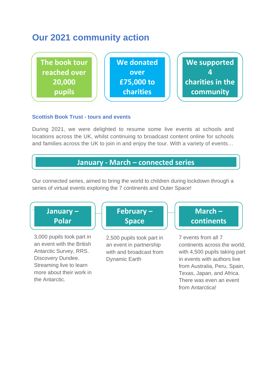# **Our 2021 community action**



#### **Scottish Book Trust - tours and events**

Antarctic Survey, RRS. Discovery Dundee. Streaming live to learn more about their work in

the Antarctic.

During 2021, we were delighted to resume some live events at schools and locations across the UK, whilst continuing to broadcast content online for schools and families across the UK to join in and enjoy the tour. With a variety of events…

## **January - March – connected series**

Our connected series, aimed to bring the world to children during lockdown through a series of virtual events exploring the 7 continents and Outer Space!



with and broadcast from

Dynamic Earth

continents across the world, with 4,500 pupils taking part in events with authors live from Australia, Peru, Spain, Texas, Japan, and Africa. There was even an event from Antarctica!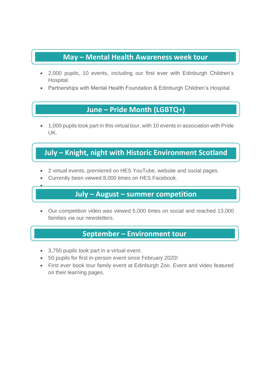## **May – Mental Health Awareness week tour**

- 2,000 pupils, 10 events, including our first ever with Edinburgh Children's Hospital.
- Partnerships with Mental Health Foundation & Edinburgh Children's Hospital.

## **June – Pride Month (LGBTQ+)**

• 1,000 pupils took part in this virtual tour, with 10 events in association with Pride UK.

# **July – Knight, night with Historic Environment Scotland**

- 2 virtual events, premiered on HES YouTube, website and social pages.
- Currently been viewed 8,000 times on HES Facebook.

## **July – August – summer competition**

• Our competition video was viewed 5,000 times on social and reached 13,000 families via our newsletters.

## **September – Environment tour**

• 3,750 pupils took part in a virtual event.

•

- 50 pupils for first in-person event since February 2020!
- First ever book tour family event at Edinburgh Zoo. Event and video featured on their learning pages.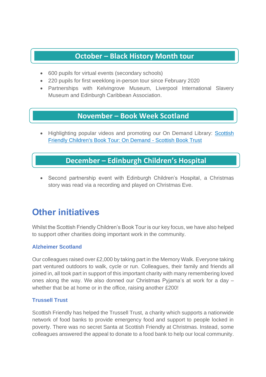## **October – Black History Month tour**

- 600 pupils for virtual events (secondary schools)
- 220 pupils for first weeklong in-person tour since February 2020
- Partnerships with Kelvingrove Museum, Liverpool International Slavery Museum and Edinburgh Caribbean Association.

## **November – Book Week Scotland**

• Highlighting popular videos and promoting our On Demand Library: [Scottish](https://www.scottishbooktrust.com/writing-and-authors/scottish-friendly-childrens-book-tour/on-demand)  [Friendly Children's Book Tour: On Demand -](https://www.scottishbooktrust.com/writing-and-authors/scottish-friendly-childrens-book-tour/on-demand) Scottish Book Trust

## **December – Edinburgh Children's Hospital**

• Second partnership event with Edinburgh Children's Hospital, a Christmas story was read via a recording and played on Christmas Eve.

# **Other initiatives**

Whilst the Scottish Friendly Children's Book Tour is our key focus, we have also helped to support other charities doing important work in the community.

#### **Alzheimer Scotland**

Our colleagues raised over £2,000 by taking part in the Memory Walk. Everyone taking part ventured outdoors to walk, cycle or run. Colleagues, their family and friends all joined in, all took part in support of this important charity with many remembering loved ones along the way. We also donned our Christmas Pyjama's at work for a day – whether that be at home or in the office, raising another £200!

#### **Trussell Trust**

Scottish Friendly has helped the Trussell Trust, a charity which supports a nationwide network of food banks to provide emergency food and support to people locked in poverty. There was no secret Santa at Scottish Friendly at Christmas. Instead, some colleagues answered the appeal to donate to a food bank to help our local community.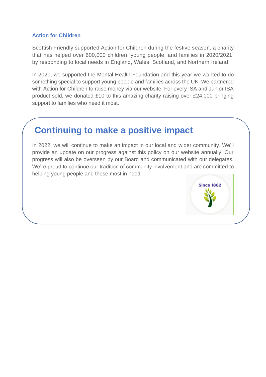#### **Action for Children**

Scottish Friendly supported Action for Children during the festive season, a charity that has helped over 600,000 children, young people, and families in 2020/2021, by responding to local needs in England, Wales, Scotland, and Northern Ireland.

In 2020, we supported the Mental Health Foundation and this year we wanted to do something special to support young people and families across the UK. We partnered with Action for Children to raise money via our website. For every ISA and Junior ISA product sold, we donated £10 to this amazing charity raising over £24,000 bringing support to families who need it most.

# **Continuing to make a positive impact**

In 2022, we will continue to make an impact in our local and wider community. We'll provide an update on our progress against this policy on our website annually. Our progress will also be overseen by our Board and communicated with our delegates. We're proud to continue our tradition of community involvement and are committed to helping young people and those most in need.